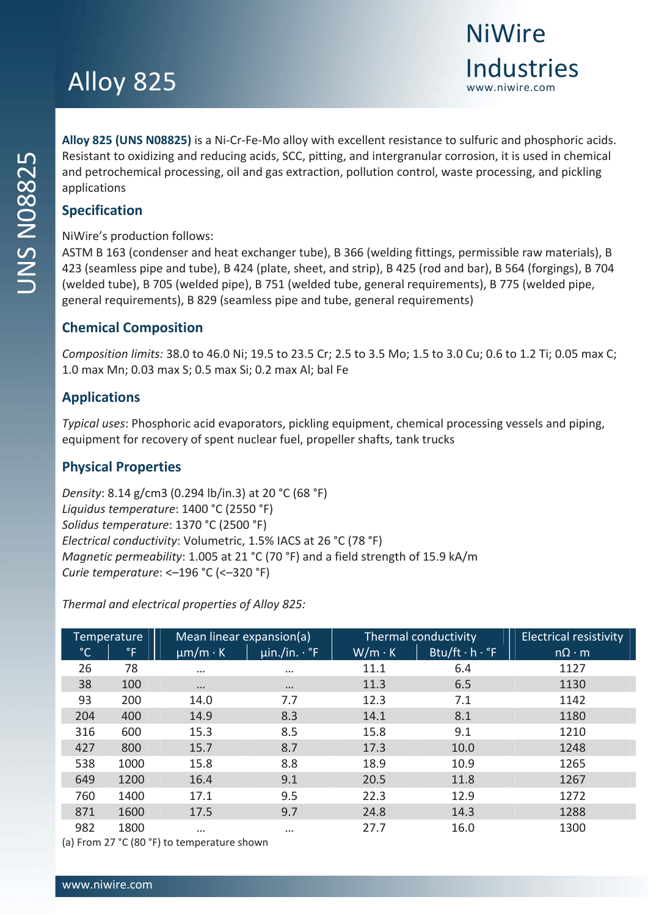## Alloy 825

**Alloy 825 (UNS N08825)** is a Ni‐Cr‐Fe‐Mo alloy with excellent resistance to sulfuric and phosphoric acids. Resistant to oxidizing and reducing acids, SCC, pitting, and intergranular corrosion, it is used in chemical and petrochemical processing, oil and gas extraction, pollution control, waste processing, and pickling applications

**NiWire** 

Industries

### **Specification**

NiWire's production follows:

ASTM B 163 (condenser and heat exchanger tube), B 366 (welding fittings, permissible raw materials), B 423 (seamless pipe and tube), B 424 (plate, sheet, and strip), B 425 (rod and bar), B 564 (forgings), B 704 (welded tube), B 705 (welded pipe), B 751 (welded tube, general requirements), B 775 (welded pipe, general requirements), B 829 (seamless pipe and tube, general requirements)

### **Chemical Composition**

*Composition limits:* 38.0 to 46.0 Ni; 19.5 to 23.5 Cr; 2.5 to 3.5 Mo; 1.5 to 3.0 Cu; 0.6 to 1.2 Ti; 0.05 max C; 1.0 max Mn; 0.03 max S; 0.5 max Si; 0.2 max Al; bal Fe

### **Applications**

*Typical uses*: Phosphoric acid evaporators, pickling equipment, chemical processing vessels and piping, equipment for recovery of spent nuclear fuel, propeller shafts, tank trucks

### **Physical Properties**

*Density*: 8.14 g/cm3 (0.294 lb/in.3) at 20 °C (68 °F) *Liquidus temperature*: 1400 °C (2550 °F) *Solidus temperature*: 1370 °C (2500 °F) *Electrical conductivity*: Volumetric, 1.5% IACS at 26 °C (78 °F) *Magnetic permeability*: 1.005 at 21 °C (70 °F) and a field strength of 15.9 kA/m *Curie temperature*: <–196 °C (<–320 °F)

*Thermal and electrical properties of Alloy 825:*

| <b>Temperature</b> |                  | Mean linear expansion(a) |                          |               | Thermal conductivity | <b>Electrical resistivity</b> |  |
|--------------------|------------------|--------------------------|--------------------------|---------------|----------------------|-------------------------------|--|
| $^{\circ}$ C       | $\degree$ F      | $\mu$ m/m · K            | $\mu$ in./in. $\cdot$ °F | $W/m \cdot K$ | Btu/ft . h . °F      | $n\Omega \cdot m$             |  |
| 26                 | 78               | $\cdots$                 | $\cdots$                 | 11.1          | 6.4                  | 1127                          |  |
| 38                 | 100              | $\cdots$                 | $\cdots$                 | 11.3          | 6.5                  | 1130                          |  |
| 93                 | 200              | 14.0                     | 7.7                      | 12.3          | 7.1                  | 1142                          |  |
| 204                | 400              | 14.9                     | 8.3                      | 14.1          | 8.1                  | 1180                          |  |
| 316                | 600              | 15.3                     | 8.5                      | 15.8          | 9.1                  | 1210                          |  |
| 427                | 800              | 15.7                     | 8.7                      | 17.3          | 10.0                 | 1248                          |  |
| 538                | 1000             | 15.8                     | 8.8                      | 18.9          | 10.9                 | 1265                          |  |
| 649                | 1200             | 16.4                     | 9.1                      | 20.5          | 11.8                 | 1267                          |  |
| 760                | 1400             | 17.1                     | 9.5                      | 22.3          | 12.9                 | 1272                          |  |
| 871                | 1600             | 17.5                     | 9.7                      | 24.8          | 14.3                 | 1288                          |  |
| 982                | 1800<br>$\cdots$ |                          | $\cdots$                 | 27.7          | 16.0                 | 1300                          |  |

(a) From 27 °C (80 °F) to temperature shown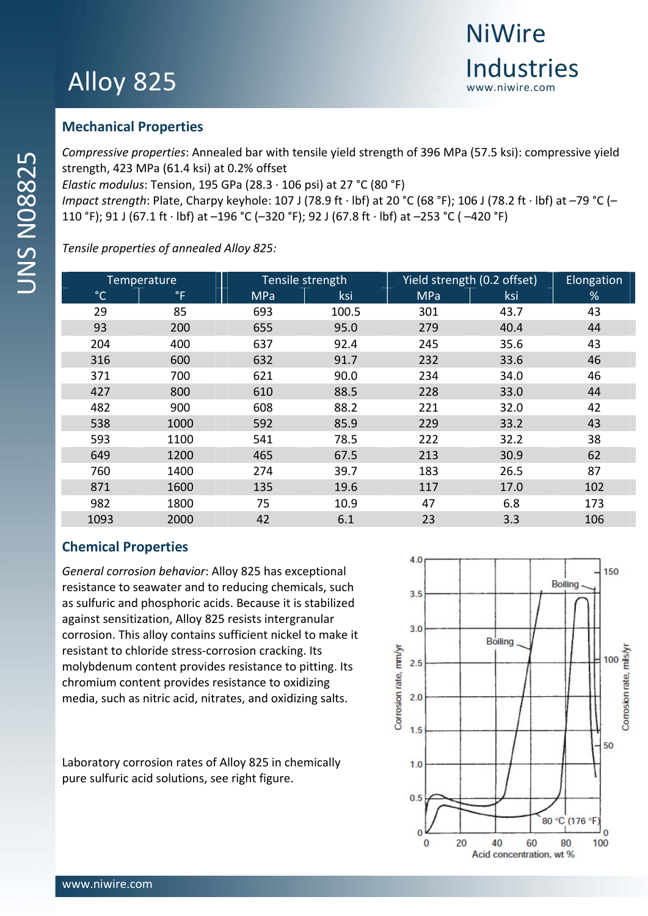# Alloy 825

### **Mechanical Properties**

*Compressive properties*: Annealed bar with tensile yield strength of 396 MPa (57.5 ksi): compressive yield strength, 423 MPa (61.4 ksi) at 0.2% offset

*Elastic modulus*: Tension, 195 GPa (28.3 ∙ 106 psi) at 27 °C (80 °F)

*Impact strength*: Plate, Charpy keyhole: 107 J (78.9 ft ∙ lbf) at 20 °C (68 °F); 106 J (78.2 ft ∙ lbf) at –79 °C (– 110 °F); 91 J (67.1 ft ∙ lbf) at –196 °C (–320 °F); 92 J (67.8 ft ∙ lbf) at –253 °C ( –420 °F)

*Tensile properties of annealed Alloy 825:*

| Temperature  |             | Tensile strength |       | Yield strength (0.2 offset) | Elongation |     |
|--------------|-------------|------------------|-------|-----------------------------|------------|-----|
| $^{\circ}$ C | $\degree$ F | <b>MPa</b>       | ksi   | <b>MPa</b>                  | ksi        | %   |
| 29           | 85          | 693              | 100.5 | 301                         | 43.7       | 43  |
| 93           | 200         | 655              | 95.0  | 279                         | 40.4       | 44  |
| 204          | 400         | 637              | 92.4  | 245                         | 35.6       | 43  |
| 316          | 600         | 632              | 91.7  | 232                         | 33.6       | 46  |
| 371          | 700         | 621              | 90.0  | 234                         | 34.0       | 46  |
| 427          | 800         | 610              | 88.5  | 228                         | 33.0       | 44  |
| 482          | 900         | 608              | 88.2  | 221                         | 32.0       | 42  |
| 538          | 1000        | 592              | 85.9  | 229                         | 33.2       | 43  |
| 593          | 1100        | 541              | 78.5  | 222                         | 32.2       | 38  |
| 649          | 1200        | 465              | 67.5  | 213                         | 30.9       | 62  |
| 760          | 1400        | 274              | 39.7  | 183                         | 26.5       | 87  |
| 871          | 1600        | 135              | 19.6  | 117                         | 17.0       | 102 |
| 982          | 1800        | 75               | 10.9  | 47                          | 6.8        | 173 |
| 1093         | 2000        | 42               | 6.1   | 23                          | 3.3        | 106 |

### **Chemical Properties**

*General corrosion behavior*: Alloy 825 has exceptional resistance to seawater and to reducing chemicals, such as sulfuric and phosphoric acids. Because it is stabilized against sensitization, Alloy 825 resists intergranular corrosion. This alloy contains sufficient nickel to make it resistant to chloride stress‐corrosion cracking. Its molybdenum content provides resistance to pitting. Its chromium content provides resistance to oxidizing media, such as nitric acid, nitrates, and oxidizing salts.

Laboratory corrosion rates of Alloy 825 in chemically pure sulfuric acid solutions, see right figure.

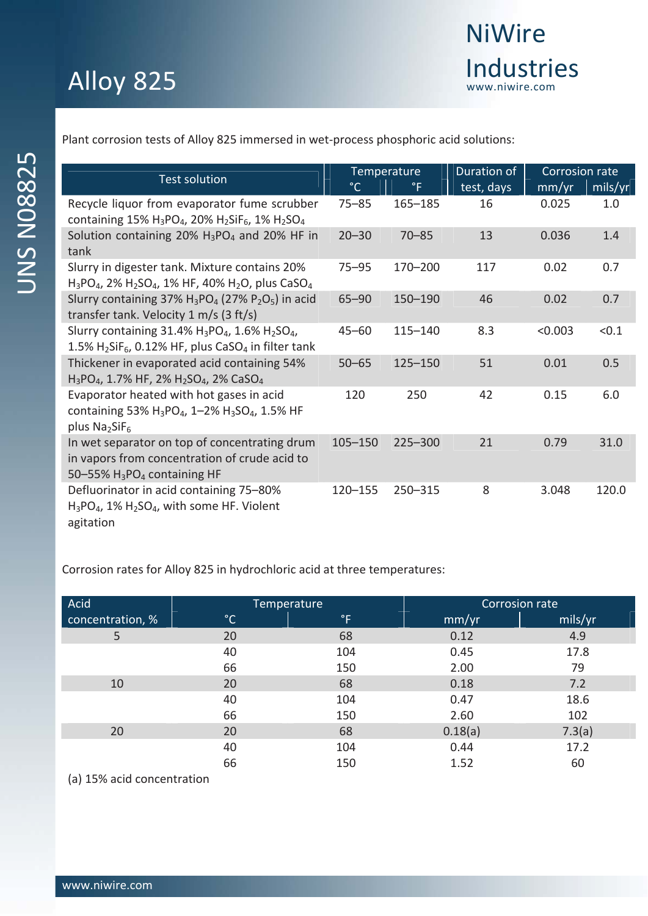Plant corrosion tests of Alloy 825 immersed in wet‐process phosphoric acid solutions:

| <b>Test solution</b>                                                                                                                  | Temperature  |              | Duration of | Corrosion rate |         |
|---------------------------------------------------------------------------------------------------------------------------------------|--------------|--------------|-------------|----------------|---------|
|                                                                                                                                       | $^{\circ}$ C | $^{\circ}$ F | test, days  | mm/yr          | mils/yr |
| Recycle liquor from evaporator fume scrubber<br>containing 15% $H_3PO_4$ , 20% $H_2SiF_6$ , 1% $H_2SO_4$                              | $75 - 85$    | $165 - 185$  | 16          | 0.025          | 1.0     |
| Solution containing 20% $H_3PO_4$ and 20% HF in<br>tank                                                                               | $20 - 30$    | $70 - 85$    | 13          | 0.036          | 1.4     |
| Slurry in digester tank. Mixture contains 20%<br>$H_3PO_4$ , 2% $H_2SO_4$ , 1% HF, 40% $H_2O$ , plus CaSO <sub>4</sub>                | 75–95        | $170 - 200$  | 117         | 0.02           | 0.7     |
| Slurry containing 37% $H_3PO_4$ (27% $P_2O_5$ ) in acid<br>transfer tank. Velocity $1 \text{ m/s}$ (3 ft/s)                           | $65 - 90$    | 150-190      | 46          | 0.02           | 0.7     |
| Slurry containing 31.4% $H_3PO_4$ , 1.6% $H_2SO_4$ ,<br>1.5% $H_2$ SiF <sub>6</sub> , 0.12% HF, plus CaSO <sub>4</sub> in filter tank | $45 - 60$    | $115 - 140$  | 8.3         | < 0.003        | < 0.1   |
| Thickener in evaporated acid containing 54%<br>$H_3PO_4$ , 1.7% HF, 2% $H_2SO_4$ , 2% CaSO <sub>4</sub>                               | $50 - 65$    | $125 - 150$  | 51          | 0.01           | 0.5     |
| Evaporator heated with hot gases in acid<br>containing 53% $H_3PO_4$ , 1-2% $H_3SO_4$ , 1.5% HF<br>plus $Na2SiF6$                     | 120          | 250          | 42          | 0.15           | 6.0     |
| In wet separator on top of concentrating drum<br>in vapors from concentration of crude acid to<br>50-55% $H_3PO_4$ containing HF      | $105 - 150$  | $225 - 300$  | 21          | 0.79           | 31.0    |
| Defluorinator in acid containing 75-80%<br>$H_3PO_4$ , 1% $H_2SO_4$ , with some HF. Violent<br>agitation                              | 120-155      | 250-315      | 8           | 3.048          | 120.0   |

Corrosion rates for Alloy 825 in hydrochloric acid at three temperatures:

| Acid             | Temperature  |             | Corrosion rate |         |  |  |
|------------------|--------------|-------------|----------------|---------|--|--|
| concentration, % | $^{\circ}$ C | $\degree$ F | mm/yr          | mils/yr |  |  |
| 5                | 20           | 68          | 0.12           | 4.9     |  |  |
|                  | 40           | 104         | 0.45           | 17.8    |  |  |
|                  | 66           | 150         | 2.00           | 79      |  |  |
| 10               | 20           | 68          | 0.18           | 7.2     |  |  |
|                  | 40           | 104         | 0.47           | 18.6    |  |  |
|                  | 66           | 150         | 2.60           | 102     |  |  |
| 20               | 20           | 68          | 0.18(a)        | 7.3(a)  |  |  |
|                  | 40           | 104         | 0.44           | 17.2    |  |  |
|                  | 66           | 150         | 1.52           | 60      |  |  |
|                  |              |             |                |         |  |  |

(a) 15% acid concentration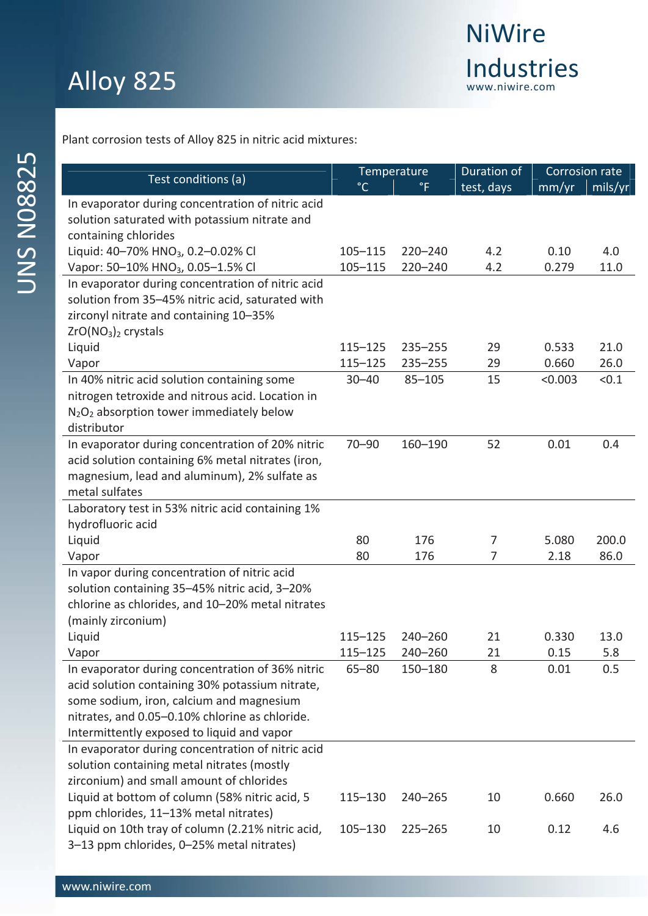| Test conditions (a)                               | Temperature  |             | Duration of    |         | Corrosion rate |
|---------------------------------------------------|--------------|-------------|----------------|---------|----------------|
|                                                   | $^{\circ}$ C | $\degree$ F | test, days     | mm/yr   | mils/yr        |
| In evaporator during concentration of nitric acid |              |             |                |         |                |
| solution saturated with potassium nitrate and     |              |             |                |         |                |
| containing chlorides                              |              |             |                |         |                |
| Liquid: 40-70% HNO <sub>3</sub> , 0.2-0.02% Cl    | $105 - 115$  | $220 - 240$ | 4.2            | 0.10    | 4.0            |
| Vapor: 50-10% HNO <sub>3</sub> , 0.05-1.5% Cl     | $105 - 115$  | $220 - 240$ | 4.2            | 0.279   | 11.0           |
| In evaporator during concentration of nitric acid |              |             |                |         |                |
| solution from 35-45% nitric acid, saturated with  |              |             |                |         |                |
| zirconyl nitrate and containing 10-35%            |              |             |                |         |                |
| $ZrO(NO3)2$ crystals                              |              |             |                |         |                |
| Liquid                                            | $115 - 125$  | $235 - 255$ | 29             | 0.533   | 21.0           |
| Vapor                                             | $115 - 125$  | $235 - 255$ | 29             | 0.660   | 26.0           |
| In 40% nitric acid solution containing some       | $30 - 40$    | $85 - 105$  | 15             | < 0.003 | < 0.1          |
| nitrogen tetroxide and nitrous acid. Location in  |              |             |                |         |                |
| $N_2O_2$ absorption tower immediately below       |              |             |                |         |                |
| distributor                                       |              |             |                |         |                |
| In evaporator during concentration of 20% nitric  | $70 - 90$    | 160-190     | 52             | 0.01    | 0.4            |
| acid solution containing 6% metal nitrates (iron, |              |             |                |         |                |
| magnesium, lead and aluminum), 2% sulfate as      |              |             |                |         |                |
| metal sulfates                                    |              |             |                |         |                |
| Laboratory test in 53% nitric acid containing 1%  |              |             |                |         |                |
| hydrofluoric acid                                 |              |             |                |         |                |
| Liquid                                            | 80           | 176         | 7              | 5.080   | 200.0          |
| Vapor                                             | 80           | 176         | $\overline{7}$ | 2.18    | 86.0           |
| In vapor during concentration of nitric acid      |              |             |                |         |                |
| solution containing 35-45% nitric acid, 3-20%     |              |             |                |         |                |
| chlorine as chlorides, and 10-20% metal nitrates  |              |             |                |         |                |
| (mainly zirconium)                                |              |             |                |         |                |
| Liquid                                            | $115 - 125$  | $240 - 260$ | 21             | 0.330   | 13.0           |
| Vapor                                             | $115 - 125$  | 240-260     | 21             | 0.15    | 5.8            |
| In evaporator during concentration of 36% nitric  | $65 - 80$    | 150-180     | 8              | 0.01    | 0.5            |
| acid solution containing 30% potassium nitrate,   |              |             |                |         |                |
| some sodium, iron, calcium and magnesium          |              |             |                |         |                |
| nitrates, and 0.05-0.10% chlorine as chloride.    |              |             |                |         |                |
| Intermittently exposed to liquid and vapor        |              |             |                |         |                |
| In evaporator during concentration of nitric acid |              |             |                |         |                |
| solution containing metal nitrates (mostly        |              |             |                |         |                |
| zirconium) and small amount of chlorides          |              |             |                |         |                |
| Liquid at bottom of column (58% nitric acid, 5    | 115-130      | 240-265     | 10             | 0.660   | 26.0           |
| ppm chlorides, 11-13% metal nitrates)             |              |             |                |         |                |
| Liquid on 10th tray of column (2.21% nitric acid, | 105-130      | $225 - 265$ | 10             | 0.12    | 4.6            |
| 3-13 ppm chlorides, 0-25% metal nitrates)         |              |             |                |         |                |